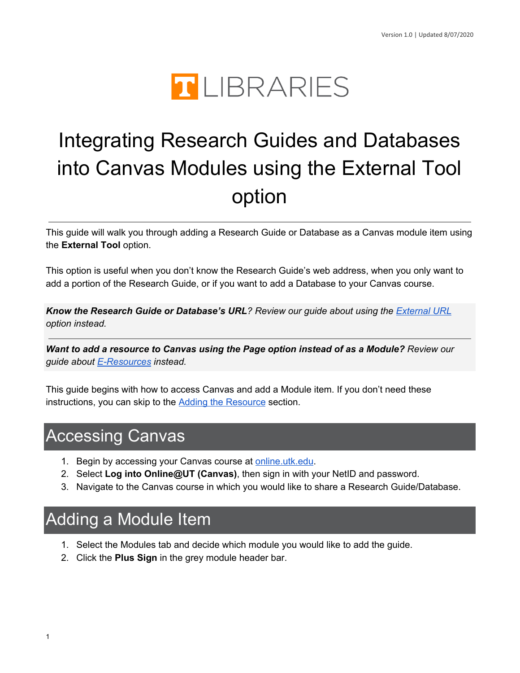

# Integrating Research Guides and Databases into Canvas Modules using the External Tool option

 This guide will walk you through adding a Research Guide or Database as a Canvas module item using the **External Tool** option.

 This option is useful when you don't know the Research Guide's web address, when you only want to add a portion of the Research Guide, or if you want to add a Database to your Canvas course.

 *Know the Research Guide or Database's URL? Review our guide about using the [External](https://www.lib.utk.edu/wp-content/uploads/sites/40/files/Canvas-External-URL.pdf) URL option instead.*

 *Want to add a resource to Canvas using the Page option instead of as a Module? Review our guide about [E-Resources](https://www.lib.utk.edu/wp-content/uploads/sites/40/files/Accessing-E-Resources-and-Adding-to-Canvas.pdf) instead.*

 This guide begins with how to access Canvas and add a Module item. If you don't need these instructions, you can skip to the Adding the [Resource](#page-1-0) section.

# Accessing Canvas

- 1. Begin by accessing your Canvas course at [online.utk.edu](https://online.utk.edu/).
- 2. Select **Log into Online@UT (Canvas)**, then sign in with your NetID and password.
- 3. Navigate to the Canvas course in which you would like to share a Research Guide/Database.

# Adding a Module Item

- 1. Select the Modules tab and decide which module you would like to add the guide.
- 2. Click the **Plus Sign** in the grey module header bar.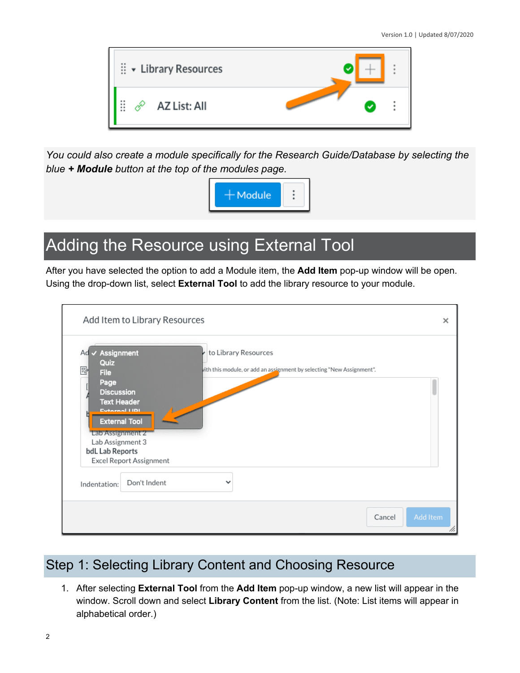

*You could also create a module specifically for the Research Guide/Database by selecting the blue + Module button at the top of the modules page.*



# <span id="page-1-0"></span>Adding the Resource using External Tool

 After you have selected the option to add a Module item, the **Add Item** pop-up window will be open. Using the drop-down list, select **External Tool** to add the library resource to your module.

|                                                                                                                                                                           | Add Item to Library Resources                                                                                                                                                           | ×        |
|---------------------------------------------------------------------------------------------------------------------------------------------------------------------------|-----------------------------------------------------------------------------------------------------------------------------------------------------------------------------------------|----------|
| $\checkmark$ Assignment<br>Ad<br>Quiz<br>$\frac{m_{\nu}}{m_{\nu}}$<br><b>File</b><br>Page<br><b>Discussion</b><br>Lab Assignment 2<br>Lab Assignment 3<br>bdL Lab Reports | to Library Resources<br>vith this module, or add an assignment by selecting "New Assignment".<br><b>Text Header</b><br>Evternal LIDL<br><b>External Tool</b><br>Excel Report Assignment |          |
| Indentation:                                                                                                                                                              | Don't Indent                                                                                                                                                                            |          |
|                                                                                                                                                                           | Cancel                                                                                                                                                                                  | Add Item |

# Step 1: Selecting Library Content and Choosing Resource

 1. After selecting **External Tool** from the **Add Item** pop-up window, a new list will appear in the window. Scroll down and select **Library Content** from the list. (Note: List items will appear in alphabetical order.)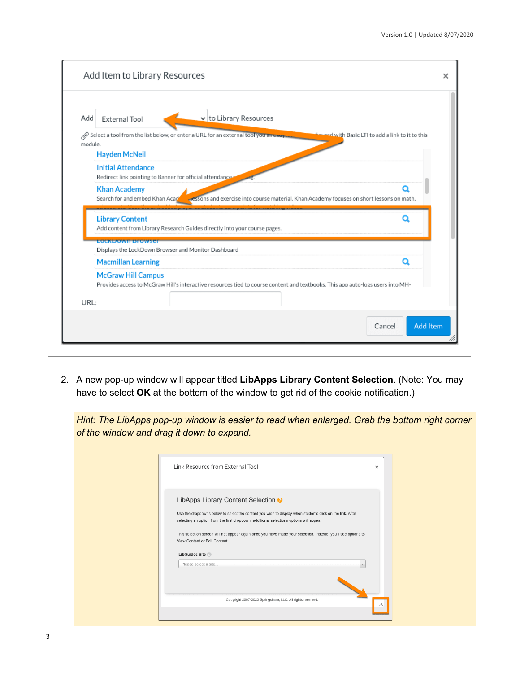| Add     | v to Library Resources<br><b>External Tool</b>                                                                                                                         |  |
|---------|------------------------------------------------------------------------------------------------------------------------------------------------------------------------|--|
| module. | Select a tool from the list below, or enter a URL for an external tool you already<br><b>Coured with Basic LTI to add a link to it to this</b><br><b>Hayden McNeil</b> |  |
|         | <b>Initial Attendance</b><br>Redirect link pointing to Banner for official attendance.                                                                                 |  |
|         | <b>Khan Academy</b><br>Ο                                                                                                                                               |  |
|         | Search for and embed Khan Acad<br>essons and exercise into course material. Khan Academy focuses on short lessons on math,                                             |  |
|         | <b>Library Content</b><br>о<br>Add content from Library Research Guides directly into your course pages.                                                               |  |
|         | ECEKLICIVILISTOWSE<br>Displays the LockDown Browser and Monitor Dashboard                                                                                              |  |
|         | <b>Macmillan Learning</b><br>О                                                                                                                                         |  |
| URL:    | <b>McGraw Hill Campus</b><br>Provides access to McGraw Hill's interactive resources tied to course content and textbooks. This app auto-logs users into MH-            |  |

 2. A new pop-up window will appear titled **LibApps Library Content Selection**. (Note: You may have to select **OK** at the bottom of the window to get rid of the cookie notification.)

 *Hint: The LibApps pop-up window is easier to read when enlarged. Grab the bottom right corner of the window and drag it down to expand.*

| Link Resource from External Tool                                                                                                                                                                                                                      | $\times$ |
|-------------------------------------------------------------------------------------------------------------------------------------------------------------------------------------------------------------------------------------------------------|----------|
| LibApps Library Content Selection <sup>O</sup><br>Use the dropdowns below to select the content you wish to display when students click on the link. After<br>selecting an option from the first dropdown, additional selections options will appear. |          |
| This selection screen will not appear again once you have made your selection. Instead, you'll see options to<br>View Content or Edit Content.                                                                                                        |          |
| LibGuides Site<br>Please select a site<br>$\mathbf{v}$                                                                                                                                                                                                |          |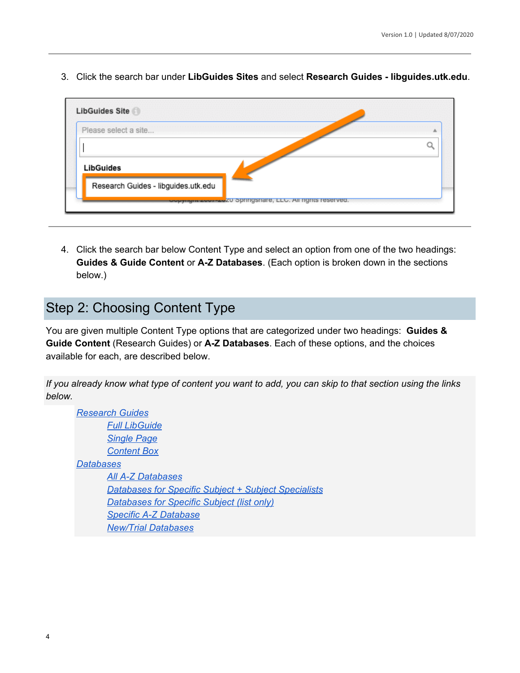3. Click the search bar under **LibGuides Sites** and select **Research Guides - [libguides.utk.edu](https://libguides.utk.edu)**.

| Please select a site                |  |
|-------------------------------------|--|
|                                     |  |
| <b>LibGuides</b>                    |  |
| Research Guides - libguides.utk.edu |  |

 4. Click the search bar below Content Type and select an option from one of the two headings:  **Guides & Guide Content** or **A-Z Databases**. (Each option is broken down in the sections below.)

## Step 2: Choosing Content Type

 You are given multiple Content Type options that are categorized under two headings: **Guides & Guide Content** (Research Guides) or **A-Z Databases**. Each of these options, and the choices available for each, are described below.

If you already know what type of content you want to add, you can skip to that section using the links *below.*

 *All A-Z [Databases](#page-7-0) [Databases](#page-7-1) for Specific Subject + Subject Specialists [Databases](#page-8-0) for Specific Subject (list only) Specific A-Z [Database](#page-9-0) Research Guides Full [LibGuide](#page-4-0) [Single](#page-4-1) Page [Content](#page-5-0) Box Databases New/Trial [Databases](#page-10-0)*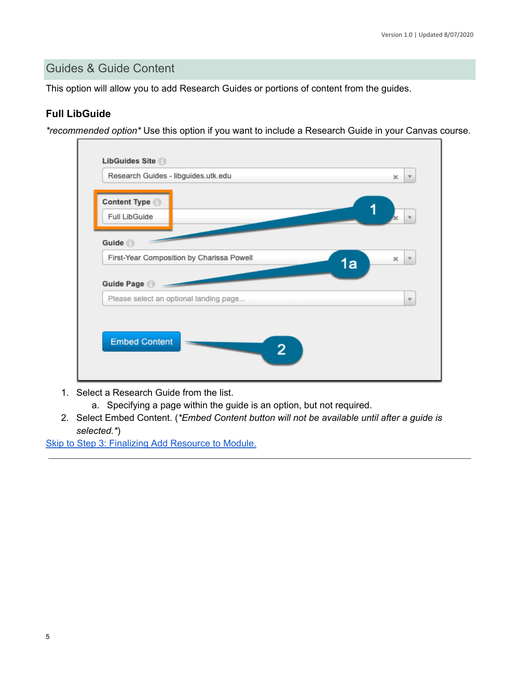#### Guides & Guide Content

This option will allow you to add Research Guides or portions of content from the guides.

#### <span id="page-4-0"></span>**Full LibGuide**

*\*recommended option\** Use this option if you want to include a Research Guide in your Canvas course.

| Content Type<br>Full LibGuide             |                         |
|-------------------------------------------|-------------------------|
|                                           |                         |
|                                           |                         |
|                                           |                         |
| Guide <sup>1</sup>                        |                         |
| First-Year Composition by Charissa Powell | ×<br>$\mathbf{v}$<br>1a |
| Guide Page                                |                         |
| Please select an optional landing page    | $\overline{\mathbf{v}}$ |
|                                           |                         |
|                                           |                         |
| <b>Embed Content</b><br>2                 |                         |

- 1. Select a Research Guide from the list.
	- a. Specifying a page within the guide is an option, but not required.
- <span id="page-4-1"></span> 2. Select Embed Content. (*\*Embed Content button will not be available until after a guide is selected.\**)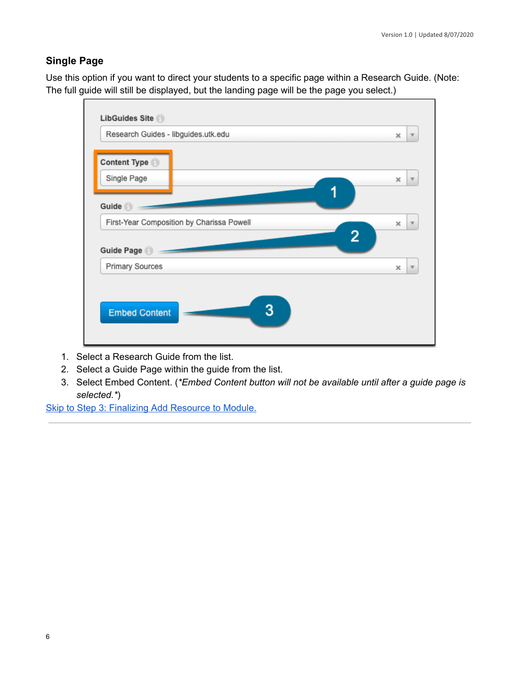#### **Single Page**

 Use this option if you want to direct your students to a specific page within a Research Guide. (Note: The full guide will still be displayed, but the landing page will be the page you select.)



- 1. Select a Research Guide from the list.
- 2. Select a Guide Page within the guide from the list.
- <span id="page-5-0"></span> 3. Select Embed Content. (*\*Embed Content button will not be available until after a guide page is selected.\**)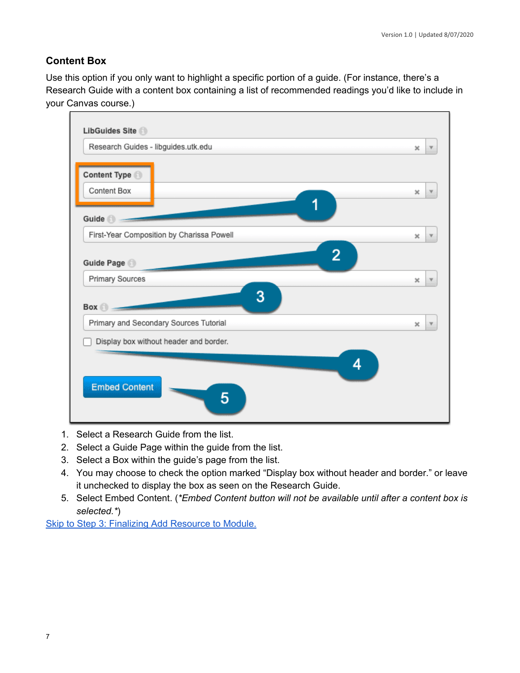#### **Content Box**

 Use this option if you only want to highlight a specific portion of a guide. (For instance, there's a Research Guide with a content box containing a list of recommended readings you'd like to include in your Canvas course.)



- 1. Select a Research Guide from the list.
- 2. Select a Guide Page within the guide from the list.
- 3. Select a Box within the guide's page from the list.
- 4. You may choose to check the option marked "Display box without header and border." or leave it unchecked to display the box as seen on the Research Guide.
- 5. Select Embed Content. (*\*Embed Content button will not be available until after a content box is selected.\**)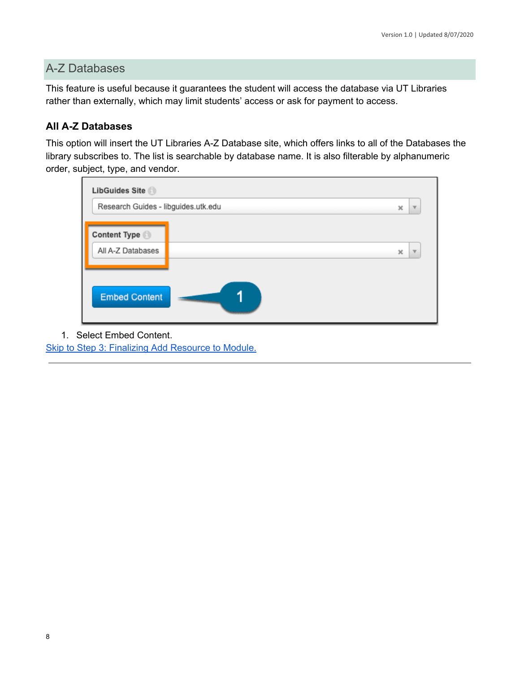### A-Z Databases

 This feature is useful because it guarantees the student will access the database via UT Libraries rather than externally, which may limit students' access or ask for payment to access.

#### <span id="page-7-0"></span>**All A-Z Databases**

 This option will insert the UT Libraries A-Z Database site, which offers links to all of the Databases the library subscribes to. The list is searchable by database name. It is also filterable by alphanumeric order, subject, type, and vendor.

| Research Guides - libguides.utk.edu |  | ×<br>$\overline{\mathbf{v}}$                     |
|-------------------------------------|--|--------------------------------------------------|
| Content Type                        |  |                                                  |
| All A-Z Databases                   |  | $\boldsymbol{\times}$<br>$\overline{\mathbf{v}}$ |
|                                     |  |                                                  |
| <b>Embed Content</b>                |  |                                                  |

<span id="page-7-1"></span>1. Select Embed Content.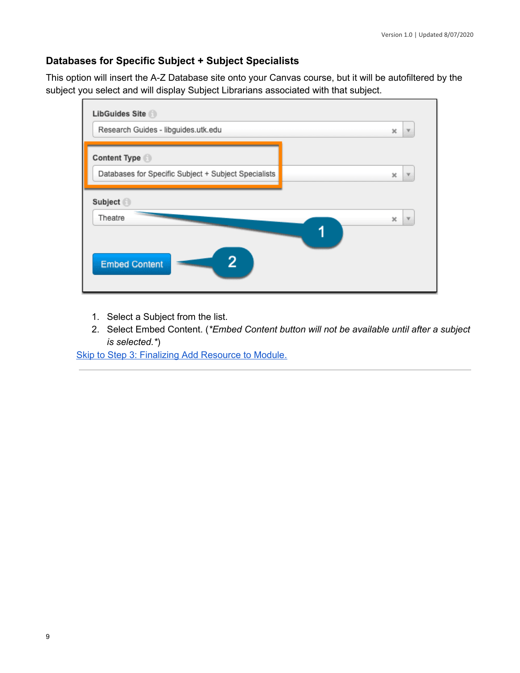#### **Databases for Specific Subject + Subject Specialists**

 This option will insert the A-Z Database site onto your Canvas course, but it will be autofiltered by the subject you select and will display Subject Librarians associated with that subject.



- 1. Select a Subject from the list.
- <span id="page-8-0"></span> 2. Select Embed Content. (*\*Embed Content button will not be available until after a subject is selected.\**)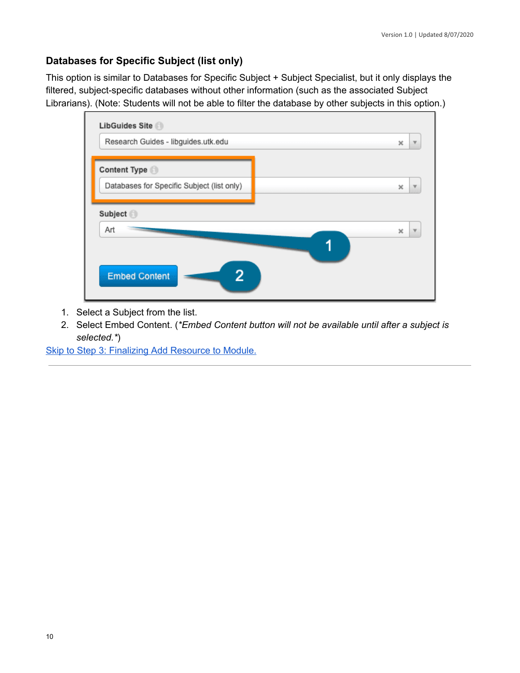#### **Databases for Specific Subject (list only)**

 This option is similar to Databases for Specific Subject + Subject Specialist, but it only displays the filtered, subject-specific databases without other information (such as the associated Subject Librarians). (Note: Students will not be able to filter the database by other subjects in this option.)



- 1. Select a Subject from the list.
- <span id="page-9-0"></span> 2. Select Embed Content. (*\*Embed Content button will not be available until after a subject is selected.\**)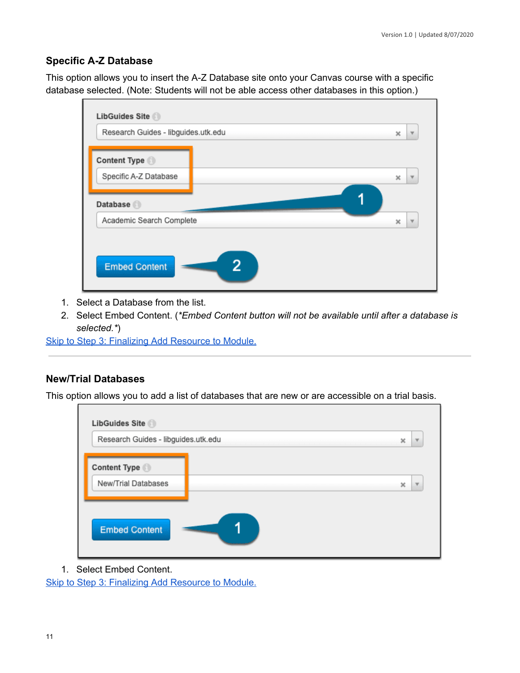#### **Specific A-Z Database**

 This option allows you to insert the A-Z Database site onto your Canvas course with a specific database selected. (Note: Students will not be able access other databases in this option.)



- 1. Select a Database from the list.
- 2. Select Embed Content. (*\*Embed Content button will not be available until after a database is selected.\**)

Skip to Step 3: Finalizing Add [Resource](#page-11-0) to Module.

#### <span id="page-10-0"></span>**New/Trial Databases**

This option allows you to add a list of databases that are new or are accessible on a trial basis.

| Research Guides - libguides.utk.edu | $\boldsymbol{\times}$ | $\overline{\mathbf{v}}$ |
|-------------------------------------|-----------------------|-------------------------|
| Content Type                        |                       |                         |
| New/Trial Databases                 | $\times$              | $\overline{\mathbf{v}}$ |
|                                     |                       |                         |
| <b>Embed Content</b>                |                       |                         |

1. Select Embed Content.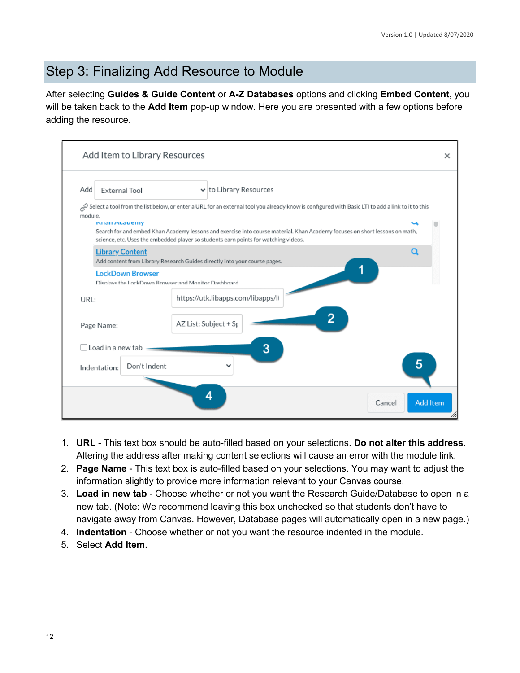### <span id="page-11-0"></span>Step 3: Finalizing Add Resource to Module

 After selecting **Guides & Guide Content** or **A-Z Databases** options and clicking **Embed Content**, you will be taken back to the **Add Item** pop-up window. Here you are presented with a few options before adding the resource.

| Add     | <b>External Tool</b>         | $\vee$ to Library Resources                                                                                                                                                                                        |  |
|---------|------------------------------|--------------------------------------------------------------------------------------------------------------------------------------------------------------------------------------------------------------------|--|
| module. | <b>IMIGH MUGUEILLY</b>       | Select a tool from the list below, or enter a URL for an external tool you already know is configured with Basic LTI to add a link to it to this                                                                   |  |
|         |                              | Search for and embed Khan Academy lessons and exercise into course material. Khan Academy focuses on short lessons on math,<br>science, etc. Uses the embedded player so students earn points for watching videos. |  |
|         | <b>Library Content</b>       | a<br>Add content from Library Research Guides directly into your course pages.                                                                                                                                     |  |
|         | <b>LockDown Browser</b>      | Displays the LockDown Browser and Monitor Dashboard                                                                                                                                                                |  |
| URL:    |                              | https://utk.libapps.com/libapps/li                                                                                                                                                                                 |  |
|         | Page Name:                   | 2<br>AZ List: Subject + Sp                                                                                                                                                                                         |  |
|         | $\lceil$ Load in a new tab   | 3                                                                                                                                                                                                                  |  |
|         | Don't Indent<br>Indentation: | 5                                                                                                                                                                                                                  |  |

- 1. **URL** This text box should be auto-filled based on your selections. **Do not alter this address.** Altering the address after making content selections will cause an error with the module link.
- 2. **Page Name** This text box is auto-filled based on your selections. You may want to adjust the information slightly to provide more information relevant to your Canvas course.
- 3. **Load in new tab** Choose whether or not you want the Research Guide/Database to open in a new tab. (Note: We recommend leaving this box unchecked so that students don't have to navigate away from Canvas. However, Database pages will automatically open in a new page.)
- 4. **Indentation** Choose whether or not you want the resource indented in the module.
- 5. Select **Add Item**.